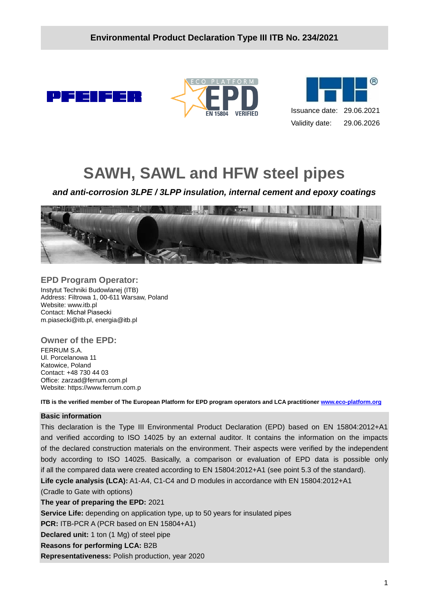





# **SAWH, SAWL and HFW steel pipes**

*and anti-corrosion 3LPE / 3LPP insulation, internal cement and epoxy coatings* 



#### **EPD Program Operator:**

Instytut Techniki Budowlanej (ITB) Address: Filtrowa 1, 00-611 Warsaw, Poland Website: www.itb.pl Contact: Michał Piasecki m.piasecki@itb.pl, energia@itb.pl

#### **Owner of the EPD:**

FERRUM S.A. Ul. Porcelanowa 11 Katowice, Poland Contact: +48 730 44 03 Office: zarzad@ferrum.com.pl Website: https://www.ferrum.com.p

**ITB is the verified member of The European Platform for EPD program operators and LCA practitioner [www.eco-platform.org](http://www.eco-platform.org/)**

#### **Basic information**

This declaration is the Type III Environmental Product Declaration (EPD) based on EN 15804:2012+A1 and verified according to ISO 14025 by an external auditor. It contains the information on the impacts of the declared construction materials on the environment. Their aspects were verified by the independent body according to ISO 14025. Basically, a comparison or evaluation of EPD data is possible only if all the compared data were created according to EN 15804:2012+A1 (see point 5.3 of the standard). **Life cycle analysis (LCA):** A1-A4, C1-C4 and D modules in accordance with EN 15804:2012+A1

(Cradle to Gate with options)

#### **The year of preparing the EPD:** 2021

**Service Life:** depending on application type, up to 50 years for insulated pipes

**PCR:** ITB-PCR A (PCR based on EN 15804+A1)

**Declared unit:** 1 ton (1 Mg) of steel pipe

**Reasons for performing LCA:** B2B

**Representativeness:** Polish production, year 2020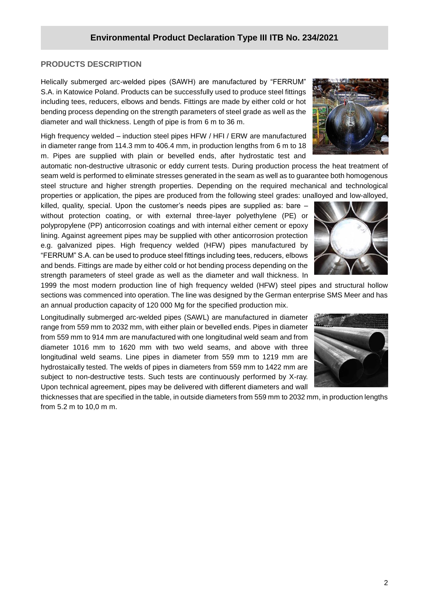### **PRODUCTS DESCRIPTION**

**/2020** Helically submerged arc-welded pipes (SAWH) are manufactured by "FERRUM" S.A. in Katowice Poland. Products can be successfully used to produce steel fittings including tees, reducers, elbows and bends. Fittings are made by either cold or hot bending process depending on the strength parameters of steel grade as well as the diameter and wall thickness. Length of pipe is from 6 m to 36 m.

High frequency welded – induction steel pipes HFW / HFI / ERW are manufactured in diameter range from 114.3 mm to 406.4 mm, in production lengths from 6 m to 18 m. Pipes are supplied with plain or bevelled ends, after hydrostatic test and

automatic non-destructive ultrasonic or eddy current tests. During production process the heat treatment of seam weld is performed to eliminate stresses generated in the seam as well as to guarantee both homogenous steel structure and higher strength properties. Depending on the required mechanical and technological properties or application, the pipes are produced from the following steel grades: unalloyed and low-alloyed,

killed, quality, special. Upon the customer's needs pipes are supplied as: bare – without protection coating, or with external three-layer polyethylene (PE) or polypropylene (PP) anticorrosion coatings and with internal either cement or epoxy lining. Against agreement pipes may be supplied with other anticorrosion protection e.g. galvanized pipes. High frequency welded (HFW) pipes manufactured by "FERRUM" S.A. can be used to produce steel fittings including tees, reducers, elbows and bends. Fittings are made by either cold or hot bending process depending on the strength parameters of steel grade as well as the diameter and wall thickness. In

1999 the most modern production line of high frequency welded (HFW) steel pipes and structural hollow sections was commenced into operation. The line was designed by the German enterprise SMS Meer and has an annual production capacity of 120 000 Mg for the specified production mix.

Longitudinally submerged arc-welded pipes (SAWL) are manufactured in diameter range from 559 mm to 2032 mm, with either plain or bevelled ends. Pipes in diameter from 559 mm to 914 mm are manufactured with one longitudinal weld seam and from diameter 1016 mm to 1620 mm with two weld seams, and above with three longitudinal weld seams. Line pipes in diameter from 559 mm to 1219 mm are hydrostaically tested. The welds of pipes in diameters from 559 mm to 1422 mm are subject to non-destructive tests. Such tests are continuously performed by X-ray. Upon technical agreement, pipes may be delivered with different diameters and wall

thicknesses that are specified in the table, in outside diameters from 559 mm to 2032 mm, in production lengths from 5.2 m to 10,0 m m.





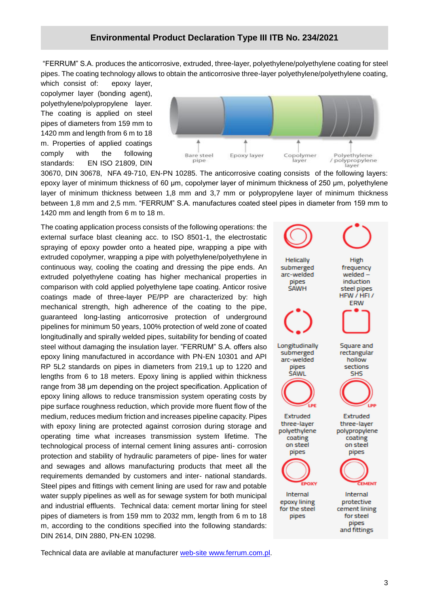"FERRUM" S.A. produces the anticorrosive, extruded, three-layer, polyethylene/polyethylene coating for steel pipes. The coating technology allows to obtain the anticorrosive three-layer polyethylene/polyethylene coating,

which consist of: epoxy layer, copolymer layer (bonding agent), polyethylene/polypropylene layer. The coating is applied on steel pipes of diameters from 159 mm to 1420 mm and length from 6 m to 18 m. Properties of applied coatings comply with the following standards: EN ISO 21809, DIN



30670, DIN 30678, NFA 49-710, EN-PN 10285. The anticorrosive coating consists of the following layers: epoxy layer of minimum thickness of 60 μm, copolymer layer of minimum thickness of 250 μm, polyethylene layer of minimum thickness between 1,8 mm and 3,7 mm or polypropylene layer of minimum thickness between 1,8 mm and 2,5 mm. "FERRUM" S.A. manufactures coated steel pipes in diameter from 159 mm to 1420 mm and length from 6 m to 18 m.

The coating application process consists of the following operations: the external surface blast cleaning acc. to ISO 8501-1, the electrostatic spraying of epoxy powder onto a heated pipe, wrapping a pipe with extruded copolymer, wrapping a pipe with polyethylene/polyethylene in continuous way, cooling the coating and dressing the pipe ends. An extruded polyethylene coating has higher mechanical properties in comparison with cold applied polyethylene tape coating. Anticor rosive coatings made of three-layer PE/PP are characterized by: high mechanical strength, high adherence of the coating to the pipe, guaranteed long-lasting anticorrosive protection of underground pipelines for minimum 50 years, 100% protection of weld zone of coated longitudinally and spirally welded pipes, suitability for bending of coated steel without damaging the insulation layer. "FERRUM" S.A. offers also epoxy lining manufactured in accordance with PN-EN 10301 and API RP 5L2 standards on pipes in diameters from 219,1 up to 1220 and lengths from 6 to 18 meters. Epoxy lining is applied within thickness range from 38 μm depending on the project specification. Application of epoxy lining allows to reduce transmission system operating costs by pipe surface roughness reduction, which provide more fluent flow of the medium, reduces medium friction and increases pipeline capacity. Pipes with epoxy lining are protected against corrosion during storage and operating time what increases transmission system lifetime. The technological process of internal cement lining assures anti- corrosion protection and stability of hydraulic parameters of pipe- lines for water and sewages and allows manufacturing products that meet all the requirements demanded by customers and inter- national standards. Steel pipes and fittings with cement lining are used for raw and potable water supply pipelines as well as for sewage system for both municipal and industrial effluents. Technical data: cement mortar lining for steel pipes of diameters is from 159 mm to 2032 mm, length from 6 m to 18 m, according to the conditions specified into the following standards: DIN 2614, DIN 2880, PN-EN 10298.

Helically High submerged frequency arc-welded welded induction pipes **SAWH** steel pipes HFW / HFL/ ERW Longitudinally Square and submerged rectangular arc-welded hollow pipes sections **SAWL SHS** Extruded Extruded three-layer three-layer polyethylene polypropylene coating coating on steel on steel pipes pipes Internal Internal protective epoxy lining for the steel cement lining for steel pipes pipes and fittings

Technical data are avilable at manufacturer [web-site](https://www.ferrum.com.pl/wp-content/uploads/2019/10/FERRUM_katalog.pdf) www.ferrum.com.pl.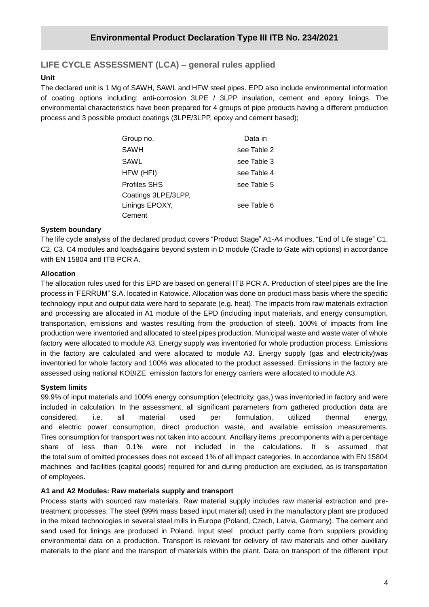# **LIFE CYCLE ASSESSMENT (LCA) – general rules applied**

#### **Unit**

**/2020** The declared unit is 1 Mg of SAWH, SAWL and HFW steel pipes. EPD also include environmental information of coating options including: anti-corrosion 3LPE / 3LPP insulation, cement and epoxy linings. The environmental characteristics have been prepared for 4 groups of pipe products having a different production process and 3 possible product coatings (3LPE/3LPP, epoxy and cement based);

| Group no.           | Data in     |
|---------------------|-------------|
| SAWH                | see Table 2 |
| SAWL                | see Table 3 |
| HFW (HFI)           | see Table 4 |
| Profiles SHS        | see Table 5 |
| Coatings 3LPE/3LPP, |             |
| Linings EPOXY,      | see Table 6 |
| Cement              |             |

#### **System boundary**

The life cycle analysis of the declared product covers "Product Stage" A1-A4 modlues, "End of Life stage" C1, C2, C3, C4 modules and loads&gains beyond system in D module (Cradle to Gate with options) in accordance with EN 15804 and ITB PCR A.

#### **Allocation**

The allocation rules used for this EPD are based on general ITB PCR A. Production of steel pipes are the line process in 'FERRUM" S.A. located in Katowice. Allocation was done on product mass basis where the specific technology input and output data were hard to separate (e.g. heat). The impacts from raw materials extraction and processing are allocated in A1 module of the EPD (including input materials, and energy consumption, transportation, emissions and wastes resulting from the production of steel). 100% of impacts from line production were inventoried and allocated to steel pipes production. Municipal waste and waste water of whole factory were allocated to module A3. Energy supply was inventoried for whole production process. Emissions in the factory are calculated and were allocated to module A3. Energy supply (gas and electricity)was inventoried for whole factory and 100% was allocated to the product assessed. Emissions in the factory are assessed using national KOBIZE emission factors for energy carriers were allocated to module A3.

#### **System limits**

99.9% of input materials and 100% energy consumption (electricity, gas,) was inventoried in factory and were included in calculation. In the assessment, all significant parameters from gathered production data are considered, i.e. all material used per formulation, utilized thermal energy, and electric power consumption, direct production waste, and available emission measurements. Tires consumption for transport was not taken into account. Ancillary items ,precomponents with a percentage share of less than 0.1% were not included in the calculations. It is assumed that the total sum of omitted processes does not exceed 1% of all impact categories. In accordance with EN 15804 machines and facilities (capital goods) required for and during production are excluded, as is transportation of employees.

#### **A1 and A2 Modules: Raw materials supply and transport**

Process starts with sourced raw materials. Raw material supply includes raw material extraction and pretreatment processes. The steel (99% mass based input material) used in the manufactory plant are produced in the mixed technologies in several steel mills in Europe (Poland, Czech, Latvia, Germany). The cement and sand used for linings are produced in Poland. Input steel product partly come from suppliers providing environmental data on a production. Transport is relevant for delivery of raw materials and other auxiliary materials to the plant and the transport of materials within the plant. Data on transport of the different input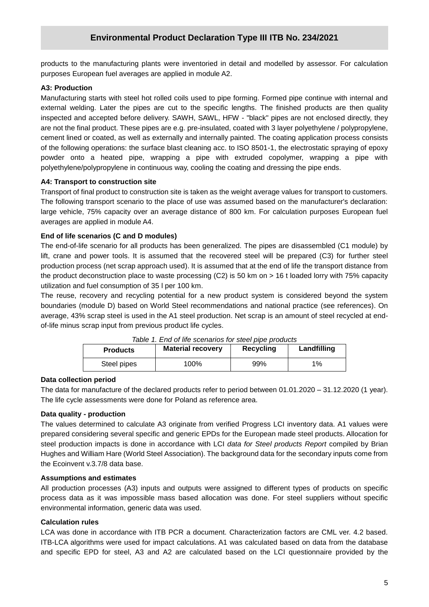products to the manufacturing plants were inventoried in detail and modelled by assessor. For calculation purposes European fuel averages are applied in module A2.

#### **A3: Production**

Manufacturing starts with steel hot rolled coils used to pipe forming. Formed pipe continue with internal and external welding. Later the pipes are cut to the specific lengths. The finished products are then quality inspected and accepted before delivery. SAWH, SAWL, HFW - "black" pipes are not enclosed directly, they are not the final product. These pipes are e.g. pre-insulated, coated with 3 layer polyethylene / polypropylene, cement lined or coated, as well as externally and internally painted. The coating application process consists of the following operations: the surface blast cleaning acc. to ISO 8501-1, the electrostatic spraying of epoxy powder onto a heated pipe, wrapping a pipe with extruded copolymer, wrapping a pipe with polyethylene/polypropylene in continuous way, cooling the coating and dressing the pipe ends.

#### **A4: Transport to construction site**

Transport of final product to construction site is taken as the weight average values for transport to customers. The following transport scenario to the place of use was assumed based on the manufacturer's declaration: large vehicle, 75% capacity over an average distance of 800 km. For calculation purposes European fuel averages are applied in module A4.

#### **End of life scenarios (C and D modules)**

The end-of-life scenario for all products has been generalized. The pipes are disassembled (C1 module) by lift, crane and power tools. It is assumed that the recovered steel will be prepared (C3) for further steel production process (net scrap approach used). It is assumed that at the end of life the transport distance from the product deconstruction place to waste processing (C2) is 50 km on > 16 t loaded lorry with 75% capacity utilization and fuel consumption of 35 l per 100 km.

The reuse, recovery and recycling potential for a new product system is considered beyond the system boundaries (module D) based on World Steel recommendations and national practice (see references). On average, 43% scrap steel is used in the A1 steel production. Net scrap is an amount of steel recycled at endof-life minus scrap input from previous product life cycles.

| Table 1. End of life scenarios for steel pipe products |                          |           |             |  |  |  |  |  |  |
|--------------------------------------------------------|--------------------------|-----------|-------------|--|--|--|--|--|--|
| <b>Products</b>                                        | <b>Material recovery</b> | Recycling | Landfilling |  |  |  |  |  |  |
| Steel pipes                                            | 100%                     | 99%       | $1\%$       |  |  |  |  |  |  |

*Table 1. End of life scenarios for steel pipe products*

#### **Data collection period**

The data for manufacture of the declared products refer to period between 01.01.2020 – 31.12.2020 (1 year). The life cycle assessments were done for Poland as reference area.

#### **Data quality - production**

The values determined to calculate A3 originate from verified Progress LCI inventory data. A1 values were prepared considering several specific and generic EPDs for the European made steel products. Allocation for steel production impacts is done in accordance with LCI *data for Steel products Report* compiled by Brian Hughes and William Hare (World Steel Association). The background data for the secondary inputs come from the Ecoinvent v.3.7/8 data base.

#### **Assumptions and estimates**

All production processes (A3) inputs and outputs were assigned to different types of products on specific process data as it was impossible mass based allocation was done. For steel suppliers without specific environmental information, generic data was used.

#### **Calculation rules**

LCA was done in accordance with ITB PCR a document. Characterization factors are CML ver. 4.2 based. ITB-LCA algorithms were used for impact calculations. A1 was calculated based on data from the database and specific EPD for steel, A3 and A2 are calculated based on the LCI questionnaire provided by the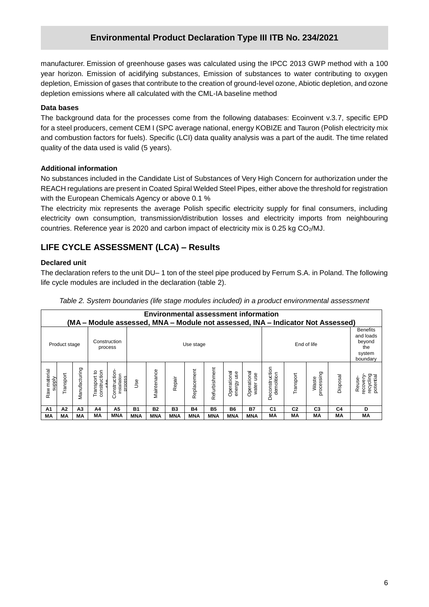**/2020** depletion, Emission of gases that contribute to the creation of ground-level ozone, Abiotic depletion, and ozone manufacturer. Emission of greenhouse gases was calculated using the IPCC 2013 GWP method with a 100 year horizon. Emission of acidifying substances, Emission of substances to water contributing to oxygen depletion emissions where all calculated with the CML-IA baseline method

#### **Data bases**

The background data for the processes come from the following databases: Ecoinvent v.3.7, specific EPD for a steel producers, cement CEM I (SPC average national, energy KOBIZE and Tauron (Polish electricity mix and combustion factors for fuels). Specific (LCI) data quality analysis was a part of the audit. The time related quality of the data used is valid (5 years).

#### **Additional information**

No substances included in the Candidate List of Substances of Very High Concern for authorization under the REACH regulations are present in Coated Spiral Welded Steel Pipes, either above the threshold for registration with the European Chemicals Agency or above 0.1 %

The electricity mix represents the average Polish specific electricity supply for final consumers, including electricity own consumption, transmission/distribution losses and electricity imports from neighbouring countries. Reference year is 2020 and carbon impact of electricity mix is 0.25 kg  $CO<sub>2</sub>/MJ$ .

# **LIFE CYCLE ASSESSMENT (LCA) – Results**

#### **Declared unit**

The declaration refers to the unit DU– 1 ton of the steel pipe produced by Ferrum S.A. in Poland. The following life cycle modules are included in the declaration (table 2).

| Table 2. System boundaries (life stage modules included) in a product environmental assessment |  |
|------------------------------------------------------------------------------------------------|--|
|------------------------------------------------------------------------------------------------|--|

|                        | <b>Environmental assessment information</b><br>(MA – Module assessed, MNA – Module not assessed, INA – Indicator Not Assessed) |                |                                         |                                         |                          |              |            |             |               |                              |                                                                     |                              |                |                          |          |                                             |
|------------------------|--------------------------------------------------------------------------------------------------------------------------------|----------------|-----------------------------------------|-----------------------------------------|--------------------------|--------------|------------|-------------|---------------|------------------------------|---------------------------------------------------------------------|------------------------------|----------------|--------------------------|----------|---------------------------------------------|
|                        | Product stage                                                                                                                  |                | Construction                            | process                                 | End of life<br>Use stage |              |            |             |               |                              | <b>Benefits</b><br>and loads<br>beyond<br>the<br>system<br>boundarv |                              |                |                          |          |                                             |
| Raw material<br>supply | Transport                                                                                                                      | Manufacturing  | construction<br>ರಿ<br>Transport<br>cita | Construction<br>installation<br>process | <b>Jse</b>               | Vlaintenance | Repair     | Replacement | Refurbishment | Operational<br>use<br>energy | Operational<br>water use                                            | Deconstruction<br>demolition | Transport      | ರಾ<br>processin<br>Waste | Disposal | recycling<br>potential<br>ecovery<br>Reuse- |
| A1                     | A <sub>2</sub>                                                                                                                 | A <sub>3</sub> | A4                                      | A5                                      | <b>B1</b>                | <b>B2</b>    | <b>B3</b>  | <b>B4</b>   | <b>B5</b>     | <b>B6</b>                    | <b>B7</b>                                                           | C <sub>1</sub>               | C <sub>2</sub> | C <sub>3</sub>           | C4       | D                                           |
| МA                     | МA                                                                                                                             | MА             | MА                                      | MNA                                     | <b>MNA</b>               | <b>MNA</b>   | <b>MNA</b> | <b>MNA</b>  | <b>MNA</b>    | <b>MNA</b>                   | <b>MNA</b>                                                          | МA                           | МA             | ΜA                       | МA       | MA                                          |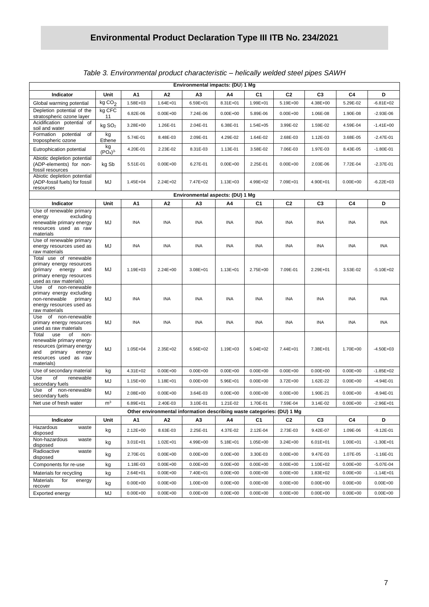| Environmental impacts: (DU) 1 Mg                                                                                                                       |                                       |                          |                              |                      |                              |                              |                              |                          |                              |                               |  |
|--------------------------------------------------------------------------------------------------------------------------------------------------------|---------------------------------------|--------------------------|------------------------------|----------------------|------------------------------|------------------------------|------------------------------|--------------------------|------------------------------|-------------------------------|--|
| Indicator                                                                                                                                              | Unit                                  | A1                       | Α2                           | А3                   | Α4                           | C <sub>1</sub>               | C <sub>2</sub>               | C <sub>3</sub>           | C4                           | D                             |  |
| Global warming potential                                                                                                                               | kgCO <sub>2</sub>                     | 1.58E+03                 | 1.64E+01                     | 6.59E+01             | 8.31E+01                     | 1.99E+01                     | 5.19E+00                     | 4.38E+00                 | 5.29E-02                     | $-6.81E+02$                   |  |
| Depletion potential of the<br>stratospheric ozone layer                                                                                                | kg CFC<br>11                          | 6.82E-06                 | $0.00E + 00$                 | 7.24E-06             | $0.00E + 00$                 | 5.89E-06                     | $0.00E + 00$                 | 1.06E-08                 | 1.90E-08                     | $-2.93E-06$                   |  |
| Acidification potential of<br>soil and water                                                                                                           | kg SO <sub>2</sub>                    | 3.28E+00                 | 1.26E-01                     | 2.04E-01             | 6.38E-01                     | $1.54E + 05$                 | 3.99E-02                     | 1.59E-02                 | 4.59E-04                     | $-1.41E + 00$                 |  |
| Formation potential<br>of<br>tropospheric ozone                                                                                                        | kg<br>Ethene                          | 5.74E-01                 | 8.48E-03                     | 2.09E-01             | 4.29E-02                     | 1.64E-02                     | 2.68E-03                     | 1.12E-03                 | 3.68E-05                     | $-2.47E-01$                   |  |
| Eutrophication potential                                                                                                                               | kg<br>(PO <sub>4</sub> ) <sup>3</sup> | 4.20E-01                 | 2.23E-02                     | 8.31E-03             | 1.13E-01                     | 3.58E-02                     | 7.06E-03                     | 1.97E-03                 | 8.43E-05                     | $-1.80E - 01$                 |  |
| Abiotic depletion potential<br>(ADP-elements) for non-<br>fossil resources                                                                             | kg Sb                                 | 5.51E-01                 | $0.00E + 00$                 | 6.27E-01             | $0.00E + 00$                 | 2.25E-01                     | $0.00E + 00$                 | 2.03E-06                 | 7.72E-04                     | $-2.37E-01$                   |  |
| Abiotic depletion potential<br>(ADP-fossil fuels) for fossil<br>resources                                                                              | MJ                                    | 1.45E+04                 | 2.24E+02                     | 7.47E+02             | 1.13E+03                     | 4.99E+02                     | 7.09E+01                     | 4.90E+01                 | $0.00E + 00$                 | $-6.22E + 03$                 |  |
| Environmental aspects: (DU) 1 Mg                                                                                                                       |                                       |                          |                              |                      |                              |                              |                              |                          |                              |                               |  |
| Indicator                                                                                                                                              | Unit                                  | Α1                       | Α2                           | A3                   | A4                           | C <sub>1</sub>               | C2                           | C <sub>3</sub>           | C4                           | D                             |  |
| Use of renewable primary<br>excluding<br>energy<br>renewable primary energy<br>resources used as raw<br>materials                                      | MJ                                    | <b>INA</b>               | <b>INA</b>                   | INA                  | INA                          | <b>INA</b>                   | <b>INA</b>                   | INA                      | INA                          | <b>INA</b>                    |  |
| Use of renewable primary<br>energy resources used as<br>raw materials                                                                                  | MJ                                    | <b>INA</b>               | INA                          | <b>INA</b>           | INA                          | <b>INA</b>                   | INA                          | <b>INA</b>               | <b>INA</b>                   | INA                           |  |
| Total use of renewable<br>primary energy resources<br>(primary<br>energy<br>and<br>primary energy resources<br>used as raw materials)                  | MJ                                    | 1.19E+03                 | 2.24E+00                     | 3.08E+01             | 1.13E+01                     | 2.75E+00                     | 7.09E-01                     | 2.29E+01                 | 3.53E-02                     | $-5.10E + 02$                 |  |
| Use of non-renewable<br>primary energy excluding<br>non-renewable<br>primary<br>energy resources used as<br>raw materials                              | MJ                                    | <b>INA</b>               | <b>INA</b>                   | <b>INA</b>           | INA                          | <b>INA</b>                   | INA                          | <b>INA</b>               | INA                          | <b>INA</b>                    |  |
| of non-renewable<br>Use<br>primary energy resources<br>used as raw materials                                                                           | MJ                                    | INA                      | <b>INA</b>                   | <b>INA</b>           | INA                          | INA                          | INA                          | INA                      | <b>INA</b>                   | <b>INA</b>                    |  |
| Total<br>use<br>of<br>non-<br>renewable primary energy<br>resources (primary energy<br>and<br>primary<br>energy<br>resources used as raw<br>materials) | MJ                                    | 1.05E+04                 | 2.35E+02                     | 6.56E+02             | 1.19E+03                     | $5.04E + 02$                 | 7.44E+01                     | 7.38E+01                 | 1.70E+00                     | $-4.50E + 03$                 |  |
| Use of secondary material                                                                                                                              | kg                                    | $4.31E + 02$             | $0.00E + 00$                 | $0.00E + 00$         | $0.00E + 00$                 | $0.00E + 00$                 | $0.00E + 00$                 | $0.00E + 00$             | $0.00E + 00$                 | $-1.85E + 02$                 |  |
| Use<br>of<br>renewable<br>secondary fuels                                                                                                              | MJ                                    | 1.15E+00                 | 1.18E+01                     | $0.00E + 00$         | 5.96E+01                     | $0.00E + 00$                 | 3.72E+00                     | 1.62E-22                 | $0.00E + 00$                 | $-4.94E - 01$                 |  |
| Use<br>of<br>non-renewable<br>secondary fuels                                                                                                          | MJ                                    | 2.08E+00                 | $0.00E + 00$                 | 3.64E-03             | $0.00E + 00$                 | $0.00E + 00$                 | $0.00E + 00$                 | 1.90E-21                 | $0.00E + 00$                 | $-8.94E - 01$                 |  |
| Net use of fresh water                                                                                                                                 | m <sup>3</sup>                        | 6.89E+01                 | 2.40E-03                     | 3.10E-01             | 1.21E-02                     | 1.70E-01                     | 7.59E-04                     | 3.14E-02                 | $0.00E + 00$                 | $-2.96E + 01$                 |  |
| Other environmental information describing waste categories: (DU) 1 Mg                                                                                 |                                       |                          |                              |                      |                              |                              |                              |                          |                              |                               |  |
| Indicator<br>Hazardous<br>waste                                                                                                                        | Unit                                  | Α1                       | А2                           | А3                   | Α4                           | C1                           | C <sub>2</sub>               | C <sub>3</sub>           | C4                           | D                             |  |
| disposed<br>Non-hazardous<br>waste                                                                                                                     | kg                                    | 2.12E+00                 | 8.63E-03                     | 2.25E-01             | 4.37E-02                     | 2.12E-04                     | 2.73E-03                     | 9.42E-07                 | 1.09E-06                     | $-9.12E - 01$                 |  |
| disposed<br>Radioactive                                                                                                                                | kg                                    | $3.01E + 01$             | 1.02E+01                     | 4.99E+00             | 5.18E+01                     | 1.05E+00                     | 3.24E+00                     | $6.01E + 01$             | 1.00E+01                     | $-1.30E + 01$                 |  |
| waste<br>disposed                                                                                                                                      | kg                                    | 2.70E-01                 | $0.00E + 00$                 | $0.00E + 00$         | $0.00E + 00$                 | 3.30E-03                     | $0.00E + 00$                 | 9.47E-03                 | 1.07E-05                     | $-1.16E - 01$                 |  |
| Components for re-use                                                                                                                                  | kg                                    | 1.18E-03                 | $0.00E + 00$                 | $0.00E + 00$         | $0.00E + 00$                 | $0.00E + 00$                 | $0.00E + 00$                 | 1.10E+02                 | $0.00E + 00$                 | $-5.07E - 04$                 |  |
| Materials for recycling<br>Materials<br>for<br>energy                                                                                                  | kg<br>kg                              | 2.64E+01<br>$0.00E + 00$ | $0.00E + 00$<br>$0.00E + 00$ | 7.40E+01<br>1.00E+00 | $0.00E + 00$<br>$0.00E + 00$ | $0.00E + 00$<br>$0.00E + 00$ | $0.00E + 00$<br>$0.00E + 00$ | 1.83E+02<br>$0.00E + 00$ | $0.00E + 00$<br>$0.00E + 00$ | $-1.14E + 01$<br>$0.00E + 00$ |  |
| recover                                                                                                                                                |                                       |                          |                              |                      |                              |                              |                              |                          |                              |                               |  |
| Exported energy                                                                                                                                        | MJ                                    | $0.00E + 00$             | $0.00E + 00$                 | $0.00E + 00$         | $0.00E + 00$                 | $0.00E + 00$                 | $0.00E + 00$                 | $0.00E + 00$             | $0.00E + 00$                 | $0.00E + 00$                  |  |

### *Table 3. Environmental product characteristic – helically welded steel pipes SAWH*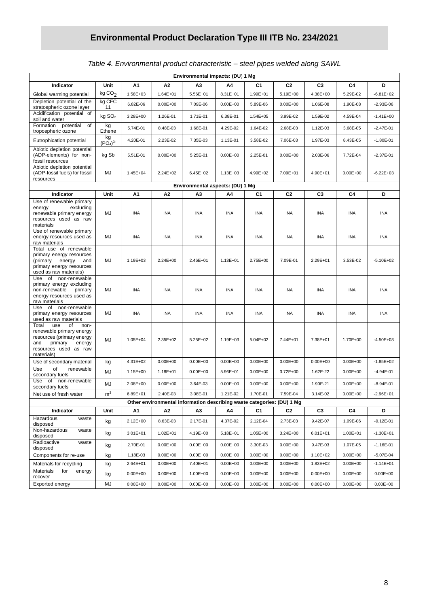| Table 4. Environmental product characteristic - steel pipes welded along SAWL |  |  |
|-------------------------------------------------------------------------------|--|--|
|                                                                               |  |  |

| Environmental impacts: (DU) 1 Mg                                                                                                                       |                                       |                          |                              |                                                                        |                              |                              |                              |                          |                              |                               |
|--------------------------------------------------------------------------------------------------------------------------------------------------------|---------------------------------------|--------------------------|------------------------------|------------------------------------------------------------------------|------------------------------|------------------------------|------------------------------|--------------------------|------------------------------|-------------------------------|
| Indicator                                                                                                                                              | Unit                                  | Α1                       | A2                           | A3                                                                     | A4                           | C1                           | C <sub>2</sub>               | C <sub>3</sub>           | C <sub>4</sub>               | D                             |
| Global warming potential                                                                                                                               | kgCO <sub>2</sub>                     | 1.58E+03                 | $1.64E + 01$                 | 5.56E+01                                                               | 8.31E+01                     | 1.99E+01                     | 5.19E+00                     | 4.38E+00                 | 5.29E-02                     | $-6.81E + 02$                 |
| Depletion potential of the<br>stratospheric ozone layer                                                                                                | kg CFC<br>11                          | 6.82E-06                 | $0.00E + 00$                 | 7.09E-06                                                               | $0.00E + 00$                 | 5.89E-06                     | $0.00E + 00$                 | 1.06E-08                 | 1.90E-08                     | $-2.93E-06$                   |
| Acidification potential of<br>soil and water                                                                                                           | kg SO <sub>2</sub>                    | 3.28E+00                 | 1.26E-01                     | 1.71E-01                                                               | 6.38E-01                     | 1.54E+05                     | 3.99E-02                     | 1.59E-02                 | 4.59E-04                     | $-1.41E + 00$                 |
| Formation potential<br>of<br>tropospheric ozone                                                                                                        | kg<br>Ethene                          | 5.74E-01                 | 8.48E-03                     | 1.68E-01                                                               | 4.29E-02                     | 1.64E-02                     | 2.68E-03                     | 1.12E-03                 | 3.68E-05                     | $-2.47E-01$                   |
| Eutrophication potential                                                                                                                               | kg<br>(PO <sub>4</sub> ) <sup>3</sup> | 4.20E-01                 | 2.23E-02                     | 7.35E-03                                                               | 1.13E-01                     | 3.58E-02                     | 7.06E-03                     | 1.97E-03                 | 8.43E-05                     | $-1.80E - 01$                 |
| Abiotic depletion potential<br>(ADP-elements) for non-<br>fossil resources                                                                             | kg Sb                                 | 5.51E-01                 | $0.00E + 00$                 | 5.25E-01                                                               | $0.00E + 00$                 | 2.25E-01                     | $0.00E + 00$                 | 2.03E-06                 | 7.72E-04                     | $-2.37E-01$                   |
| Abiotic depletion potential<br>(ADP-fossil fuels) for fossil<br>resources                                                                              | MJ                                    | 1.45E+04                 | 2.24E+02                     | $6.45E + 02$                                                           | 1.13E+03                     | 4.99E+02                     | 7.09E+01                     | 4.90E+01                 | $0.00E + 00$                 | $-6.22E + 03$                 |
| Environmental aspects: (DU) 1 Mg                                                                                                                       |                                       |                          |                              |                                                                        |                              |                              |                              |                          |                              |                               |
| Indicator                                                                                                                                              | Unit                                  | A1                       | А2                           | А3                                                                     | A4                           | C1                           | C <sub>2</sub>               | C <sub>3</sub>           | C4                           | D                             |
| Use of renewable primary<br>excluding<br>energy<br>renewable primary energy<br>resources used as raw<br>materials                                      | MJ                                    | <b>INA</b>               | INA                          | <b>INA</b>                                                             | <b>INA</b>                   | <b>INA</b>                   | <b>INA</b>                   | <b>INA</b>               | <b>INA</b>                   | <b>INA</b>                    |
| Use of renewable primary<br>energy resources used as<br>raw materials                                                                                  | MJ                                    | <b>INA</b>               | <b>INA</b>                   | INA                                                                    | <b>INA</b>                   | <b>INA</b>                   | INA                          | <b>INA</b>               | INA                          | <b>INA</b>                    |
| Total use of renewable<br>primary energy resources<br>(primary energy<br>and<br>primary energy resources<br>used as raw materials)                     | MJ                                    | $1.19E + 03$             | $2.24E + 00$                 | 2.46E+01                                                               | $1.13E + 01$                 | 2.75E+00                     | 7.09E-01                     | 2.29E+01                 | 3.53E-02                     | $-5.10E + 02$                 |
| Use of non-renewable<br>primary energy excluding<br>non-renewable<br>primary<br>energy resources used as<br>raw materials                              | MJ                                    | <b>INA</b>               | INA                          | INA                                                                    | INA                          | <b>INA</b>                   | INA                          | INA                      | <b>INA</b>                   | <b>INA</b>                    |
| Use of non-renewable<br>primary energy resources<br>used as raw materials                                                                              | MJ                                    | INA                      | INA                          | <b>INA</b>                                                             | <b>INA</b>                   | <b>INA</b>                   | <b>INA</b>                   | <b>INA</b>               | <b>INA</b>                   | <b>INA</b>                    |
| Total<br>use<br>of<br>non-<br>renewable primary energy<br>resources (primary energy<br>and<br>primary<br>energy<br>resources used as raw<br>materials) | MJ                                    | 1.05E+04                 | 2.35E+02                     | 5.25E+02                                                               | 1.19E+03                     | 5.04E+02                     | 7.44E+01                     | 7.38E+01                 | 1.70E+00                     | $-4.50E + 03$                 |
| Use of secondary material                                                                                                                              | kg                                    | 4.31E+02                 | $0.00E + 00$                 | $0.00E + 00$                                                           | $0.00E + 00$                 | $0.00E + 00$                 | $0.00E + 00$                 | $0.00E + 00$             | $0.00E + 00$                 | $-1.85E + 02$                 |
| Use<br>of<br>renewable<br>secondary fuels                                                                                                              | MJ                                    | 1.15E+00                 | 1.18E+01                     | $0.00E + 00$                                                           | 5.96E+01                     | $0.00E + 00$                 | 3.72E+00                     | 1.62E-22                 | $0.00E + 00$                 | $-4.94E - 01$                 |
| Use<br>of non-renewable<br>secondary fuels                                                                                                             | MJ                                    | 2.08E+00                 | $0.00E + 00$                 | 3.64E-03                                                               | $0.00E + 00$                 | $0.00E + 00$                 | $0.00E + 00$                 | 1.90E-21                 | $0.00E + 00$                 | $-8.94E - 01$                 |
| Net use of fresh water                                                                                                                                 | $\mathsf{m}^3$                        | 6.89E+01                 | 2.40E-03                     | 3.08E-01                                                               | 1.21E-02                     | 1.70E-01                     | 7.59E-04                     | 3.14E-02                 | $0.00E + 00$                 | $-2.96E + 01$                 |
|                                                                                                                                                        |                                       |                          |                              | Other environmental information describing waste categories: (DU) 1 Mg |                              |                              |                              |                          |                              | D                             |
| Indicator<br>Hazardous<br>waste                                                                                                                        | Unit                                  | А1                       | Α2                           | А3                                                                     | Α4                           | C1                           | C <sub>2</sub>               | C3                       | C4                           |                               |
| disposed<br>Non-hazardous<br>waste                                                                                                                     | kg                                    | 2.12E+00                 | 8.63E-03                     | 2.17E-01                                                               | 4.37E-02                     | 2.12E-04                     | 2.73E-03                     | 9.42E-07                 | 1.09E-06                     | $-9.12E - 01$                 |
| disposed<br>Radioactive<br>waste                                                                                                                       | kg                                    | $3.01E + 01$             | $1.02E + 01$                 | 4.19E+00                                                               | 5.18E+01                     | 1.05E+00                     | $3.24E + 00$                 | $6.01E + 01$             | 1.00E+01                     | $-1.30E + 01$                 |
| disposed                                                                                                                                               | kg                                    | 2.70E-01                 | $0.00E + 00$                 | $0.00E + 00$                                                           | $0.00E + 00$                 | 3.30E-03                     | $0.00E + 00$                 | 9.47E-03                 | 1.07E-05                     | $-1.16E - 01$                 |
| Components for re-use                                                                                                                                  | kg                                    | 1.18E-03                 | $0.00E + 00$                 | $0.00E + 00$                                                           | $0.00E + 00$                 | $0.00E + 00$                 | $0.00E + 00$                 | 1.10E+02                 | $0.00E + 00$                 | $-5.07E - 04$                 |
| Materials for recycling<br>Materials<br>for<br>energy                                                                                                  | kg<br>kg                              | 2.64E+01<br>$0.00E + 00$ | $0.00E + 00$<br>$0.00E + 00$ | 7.40E+01<br>1.00E+00                                                   | $0.00E + 00$<br>$0.00E + 00$ | $0.00E + 00$<br>$0.00E + 00$ | $0.00E + 00$<br>$0.00E + 00$ | 1.83E+02<br>$0.00E + 00$ | $0.00E + 00$<br>$0.00E + 00$ | $-1.14E + 01$<br>$0.00E + 00$ |
| recover<br>Exported energy                                                                                                                             | MJ                                    | $0.00E + 00$             | $0.00E + 00$                 | $0.00E + 00$                                                           | $0.00E + 00$                 | $0.00E + 00$                 | $0.00E + 00$                 | $0.00E + 00$             | $0.00E + 00$                 | $0.00E + 00$                  |
|                                                                                                                                                        |                                       |                          |                              |                                                                        |                              |                              |                              |                          |                              |                               |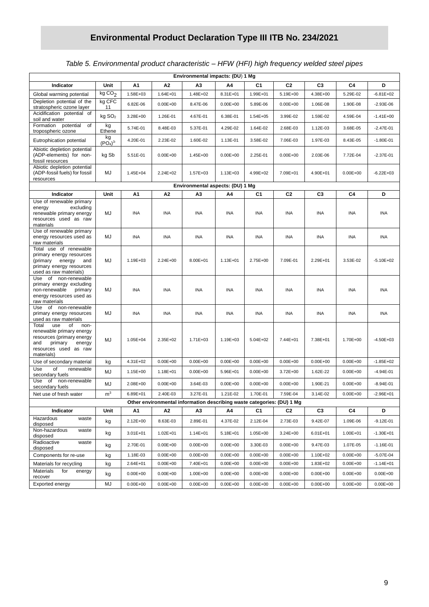### *Table 5. Environmental product characteristic – HFW (HFI) high frequency welded steel pipes*

| Environmental impacts: (DU) 1 Mg                                                                                                                       |                                       |              |              |                                                                        |              |              |                |                |              |               |
|--------------------------------------------------------------------------------------------------------------------------------------------------------|---------------------------------------|--------------|--------------|------------------------------------------------------------------------|--------------|--------------|----------------|----------------|--------------|---------------|
| Indicator                                                                                                                                              | Unit                                  | Α1           | Α2           | A3                                                                     | Α4           | C1           | C <sub>2</sub> | C <sub>3</sub> | C4           | D             |
| Global warming potential                                                                                                                               | kgCO <sub>2</sub>                     | 1.58E+03     | 1.64E+01     | 1.48E+02                                                               | 8.31E+01     | 1.99E+01     | 5.19E+00       | 4.38E+00       | 5.29E-02     | $-6.81E + 02$ |
| Depletion potential of the<br>stratospheric ozone layer                                                                                                | kg CFC<br>11                          | 6.82E-06     | $0.00E + 00$ | 8.47E-06                                                               | $0.00E + 00$ | 5.89E-06     | $0.00E + 00$   | 1.06E-08       | 1.90E-08     | -2.93E-06     |
| Acidification potential of<br>soil and water                                                                                                           | kg SO <sub>2</sub>                    | 3.28E+00     | 1.26E-01     | 4.67E-01                                                               | 6.38E-01     | $1.54E + 05$ | 3.99E-02       | 1.59E-02       | 4.59E-04     | $-1.41E+00$   |
| Formation potential of<br>tropospheric ozone                                                                                                           | kg<br>Ethene                          | 5.74E-01     | 8.48E-03     | 5.37E-01                                                               | 4.29E-02     | 1.64E-02     | 2.68E-03       | 1.12E-03       | 3.68E-05     | $-2.47E-01$   |
| Eutrophication potential                                                                                                                               | kg<br>(PO <sub>4</sub> ) <sup>3</sup> | 4.20E-01     | 2.23E-02     | 1.60E-02                                                               | 1.13E-01     | 3.58E-02     | 7.06E-03       | 1.97E-03       | 8.43E-05     | $-1.80E - 01$ |
| Abiotic depletion potential<br>(ADP-elements) for non-<br>fossil resources                                                                             | kg Sb                                 | 5.51E-01     | $0.00E + 00$ | 1.45E+00                                                               | $0.00E + 00$ | 2.25E-01     | $0.00E + 00$   | 2.03E-06       | 7.72E-04     | $-2.37E-01$   |
| Abiotic depletion potential<br>(ADP-fossil fuels) for fossil<br>resources                                                                              | MJ                                    | 1.45E+04     | 2.24E+02     | 1.57E+03                                                               | 1.13E+03     | 4.99E+02     | 7.09E+01       | 4.90E+01       | $0.00E + 00$ | $-6.22E + 03$ |
| Environmental aspects: (DU) 1 Mg                                                                                                                       |                                       |              |              |                                                                        |              |              |                |                |              |               |
| Indicator                                                                                                                                              | Unit                                  | A1           | А2           | А3                                                                     | Α4           | C1           | C <sub>2</sub> | C <sub>3</sub> | C4           | D             |
| Use of renewable primary<br>excluding<br>energy<br>renewable primary energy<br>resources used as raw<br>materials                                      | MJ                                    | INA          | INA          | <b>INA</b>                                                             | <b>INA</b>   | <b>INA</b>   | <b>INA</b>     | <b>INA</b>     | <b>INA</b>   | <b>INA</b>    |
| Use of renewable primary<br>energy resources used as<br>raw materials                                                                                  | MJ                                    | INA          | INA          | <b>INA</b>                                                             | INA          | <b>INA</b>   | <b>INA</b>     | <b>INA</b>     | <b>INA</b>   | <b>INA</b>    |
| Total use of renewable<br>primary energy resources<br>(primary energy<br>and<br>primary energy resources<br>used as raw materials)                     | MJ                                    | 1.19E+03     | $2.24E + 00$ | 8.00E+01                                                               | $1.13E + 01$ | 2.75E+00     | 7.09E-01       | 2.29E+01       | 3.53E-02     | $-5.10E + 02$ |
| Use of non-renewable<br>primary energy excluding<br>non-renewable<br>primary<br>energy resources used as<br>raw materials                              | MJ                                    | <b>INA</b>   | INA          | <b>INA</b>                                                             | <b>INA</b>   | <b>INA</b>   | <b>INA</b>     | <b>INA</b>     | <b>INA</b>   | <b>INA</b>    |
| Use of non-renewable<br>primary energy resources<br>used as raw materials                                                                              | MJ                                    | INA          | INA          | <b>INA</b>                                                             | INA          | <b>INA</b>   | <b>INA</b>     | <b>INA</b>     | <b>INA</b>   | <b>INA</b>    |
| Total<br>use<br>of<br>non-<br>renewable primary energy<br>resources (primary energy<br>and<br>primary<br>energy<br>resources used as raw<br>materials) | MJ                                    | $1.05E + 04$ | 2.35E+02     | $1.71E + 03$                                                           | 1.19E+03     | $5.04E + 02$ | 7.44E+01       | 7.38E+01       | 1.70E+00     | $-4.50E + 03$ |
| Use of secondary material                                                                                                                              | kg                                    | $4.31E + 02$ | $0.00E + 00$ | $0.00E + 00$                                                           | $0.00E + 00$ | $0.00E + 00$ | $0.00E + 00$   | $0.00E + 00$   | $0.00E + 00$ | $-1.85E + 02$ |
| Use<br>of<br>renewable<br>secondary fuels                                                                                                              | MJ                                    | 1.15E+00     | 1.18E+01     | $0.00E + 00$                                                           | 5.96E+01     | $0.00E + 00$ | 3.72E+00       | 1.62E-22       | $0.00E + 00$ | $-4.94E-01$   |
| of non-renewable<br>Use<br>secondary fuels                                                                                                             | MJ                                    | 2.08E+00     | $0.00E + 00$ | 3.64E-03                                                               | $0.00E + 00$ | $0.00E + 00$ | $0.00E + 00$   | 1.90E-21       | $0.00E + 00$ | $-8.94E - 01$ |
| Net use of fresh water                                                                                                                                 | $\mathsf{m}^3$                        | 6.89E+01     | 2.40E-03     | 3.27E-01                                                               | 1.21E-02     | 1.70E-01     | 7.59E-04       | 3.14E-02       | $0.00E + 00$ | $-2.96E + 01$ |
|                                                                                                                                                        |                                       |              |              | Other environmental information describing waste categories: (DU) 1 Mg |              |              |                |                |              |               |
| Indicator<br>Hazardous<br>waste                                                                                                                        | Unit                                  | А1           | А2           | А3                                                                     | Α4           | C1           | C <sub>2</sub> | C <sub>3</sub> | C4           | D             |
| disposed<br>Non-hazardous                                                                                                                              | kg                                    | 2.12E+00     | 8.63E-03     | 2.89E-01                                                               | 4.37E-02     | 2.12E-04     | 2.73E-03       | 9.42E-07       | 1.09E-06     | -9.12E-01     |
| waste<br>disposed                                                                                                                                      | kg                                    | $3.01E + 01$ | 1.02E+01     | $1.14E + 01$                                                           | 5.18E+01     | 1.05E+00     | 3.24E+00       | $6.01E + 01$   | 1.00E+01     | $-1.30E + 01$ |
| Radioactive<br>waste<br>disposed                                                                                                                       | kg                                    | 2.70E-01     | $0.00E + 00$ | $0.00E + 00$                                                           | $0.00E + 00$ | 3.30E-03     | $0.00E + 00$   | 9.47E-03       | 1.07E-05     | $-1.16E - 01$ |
| Components for re-use                                                                                                                                  | kg                                    | 1.18E-03     | $0.00E + 00$ | $0.00E + 00$                                                           | $0.00E + 00$ | $0.00E + 00$ | $0.00E + 00$   | 1.10E+02       | $0.00E + 00$ | -5.07E-04     |
| Materials for recycling<br>Materials<br>for<br>energy                                                                                                  | kg                                    | 2.64E+01     | $0.00E + 00$ | 7.40E+01                                                               | $0.00E + 00$ | $0.00E + 00$ | $0.00E + 00$   | 1.83E+02       | $0.00E + 00$ | $-1.14E + 01$ |
| recover                                                                                                                                                | kg                                    | $0.00E + 00$ | $0.00E + 00$ | 1.00E+00                                                               | $0.00E + 00$ | $0.00E + 00$ | $0.00E + 00$   | $0.00E + 00$   | $0.00E + 00$ | $0.00E + 00$  |
| Exported energy                                                                                                                                        | MJ                                    | $0.00E + 00$ | $0.00E + 00$ | $0.00E + 00$                                                           | $0.00E + 00$ | $0.00E + 00$ | $0.00E + 00$   | $0.00E + 00$   | $0.00E + 00$ | $0.00E + 00$  |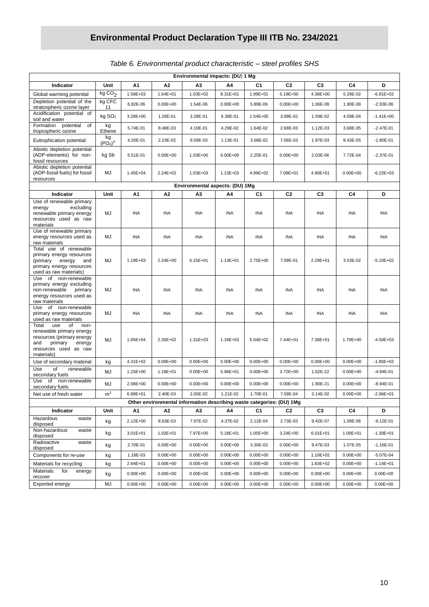| Environmental impacts: (DU) 1 Mg                                                                                                                       |                                       |                          |                              |                                                                       |                              |                              |                              |                          |                              |                               |
|--------------------------------------------------------------------------------------------------------------------------------------------------------|---------------------------------------|--------------------------|------------------------------|-----------------------------------------------------------------------|------------------------------|------------------------------|------------------------------|--------------------------|------------------------------|-------------------------------|
| Indicator                                                                                                                                              | Unit                                  | Α1                       | A2                           | АЗ                                                                    | Α4                           | C1                           | C <sub>2</sub>               | C <sub>3</sub>           | C4                           | D                             |
| Global warming potential                                                                                                                               | kgCO <sub>2</sub>                     | 1.58E+03                 | 1.64E+01                     | 1.03E+02                                                              | 8.31E+01                     | 1.99E+01                     | 5.19E+00                     | 4.38E+00                 | 5.29E-02                     | $-6.81E+02$                   |
| Depletion potential of the<br>stratospheric ozone layer                                                                                                | kg CFC<br>11                          | 6.82E-06                 | $0.00E + 00$                 | 1.54E-06                                                              | $0.00E + 00$                 | 5.89E-06                     | $0.00E + 00$                 | 1.06E-08                 | 1.90E-08                     | $-2.93E-06$                   |
| Acidification potential of<br>soil and water                                                                                                           | kg SO <sub>2</sub>                    | 3.28E+00                 | 1.26E-01                     | 3.28E-01                                                              | 6.38E-01                     | $1.54E + 05$                 | 3.99E-02                     | 1.59E-02                 | 4.59E-04                     | $-1.41E + 00$                 |
| Formation potential<br>of<br>tropospheric ozone                                                                                                        | kg<br>Ethene                          | 5.74E-01                 | 8.48E-03                     | 4.10E-01                                                              | 4.29E-02                     | 1.64E-02                     | 2.68E-03                     | 1.12E-03                 | 3.68E-05                     | $-2.47E-01$                   |
| Eutrophication potential                                                                                                                               | kg<br>(PO <sub>4</sub> ) <sup>3</sup> | 4.20E-01                 | 2.23E-02                     | 9.59E-03                                                              | 1.13E-01                     | 3.58E-02                     | 7.06E-03                     | 1.97E-03                 | 8.43E-05                     | $-1.80E - 01$                 |
| Abiotic depletion potential<br>(ADP-elements) for non-<br>fossil resources                                                                             | kg Sb                                 | 5.51E-01                 | $0.00E + 00$                 | 1.03E+00                                                              | $0.00E + 00$                 | 2.25E-01                     | $0.00E + 00$                 | 2.03E-06                 | 7.72E-04                     | $-2.37E-01$                   |
| Abiotic depletion potential<br>(ADP-fossil fuels) for fossil<br>resources                                                                              | MJ                                    | 1.45E+04                 | 2.24E+02                     | $1.03E + 03$                                                          | $1.13E + 03$                 | 4.99E+02                     | 7.09E+01                     | 4.90E+01                 | $0.00E + 00$                 | $-6.22E + 03$                 |
| Environmental aspects: (DU) 1Mg                                                                                                                        |                                       |                          |                              |                                                                       |                              |                              |                              |                          |                              |                               |
| Indicator                                                                                                                                              | Unit                                  | Α1                       | A <sub>2</sub>               | A3                                                                    | Α4                           | C <sub>1</sub>               | C <sub>2</sub>               | C <sub>3</sub>           | C4                           | D                             |
| Use of renewable primary<br>energy<br>excluding<br>renewable primary energy<br>resources used as raw<br>materials                                      | MJ                                    | <b>INA</b>               | <b>INA</b>                   | <b>INA</b>                                                            | <b>INA</b>                   | INA                          | <b>INA</b>                   | <b>INA</b>               | <b>INA</b>                   | <b>INA</b>                    |
| Use of renewable primary<br>energy resources used as<br>raw materials                                                                                  | MJ                                    | INA                      | <b>INA</b>                   | <b>INA</b>                                                            | INA                          | <b>INA</b>                   | INA                          | INA                      | INA                          | INA                           |
| Total use of renewable<br>primary energy resources<br>(primary energy<br>and<br>primary energy resources<br>used as raw materials)                     | MJ                                    | 1.19E+03                 | $2.24E + 00$                 | $6.15E + 01$                                                          | 1.13E+01                     | 2.75E+00                     | 7.09E-01                     | 2.29E+01                 | 3.53E-02                     | $-5.10E + 02$                 |
| Use of non-renewable<br>primary energy excluding<br>non-renewable<br>primary<br>energy resources used as<br>raw materials                              | MJ                                    | <b>INA</b>               | <b>INA</b>                   | <b>INA</b>                                                            | <b>INA</b>                   | INA                          | <b>INA</b>                   | <b>INA</b>               | <b>INA</b>                   | <b>INA</b>                    |
| non-renewable<br>Use<br>of<br>primary energy resources<br>used as raw materials                                                                        | MJ                                    | INA                      | <b>INA</b>                   | INA                                                                   | INA                          | INA                          | INA                          | INA                      | INA                          | <b>INA</b>                    |
| of<br>Total<br>use<br>non-<br>renewable primary energy<br>resources (primary energy<br>and<br>primary<br>energy<br>resources used as raw<br>materials) | MJ                                    | $1.05E + 04$             | 2.35E+02                     | 1.31E+03                                                              | 1.19E+03                     | 5.04E+02                     | 7.44E+01                     | 7.38E+01                 | 1.70E+00                     | $-4.50E + 03$                 |
| Use of secondary material                                                                                                                              | kg                                    | 4.31E+02                 | $0.00E + 00$                 | $0.00E + 00$                                                          | $0.00E + 00$                 | $0.00E + 00$                 | $0.00E + 00$                 | $0.00E + 00$             | $0.00E + 00$                 | $-1.85E + 02$                 |
| Use<br>of<br>renewable<br>secondary fuels                                                                                                              | MJ                                    | 1.15E+00                 | 1.18E+01                     | $0.00E + 00$                                                          | 5.96E+01                     | $0.00E + 00$                 | 3.72E+00                     | 1.62E-22                 | $0.00E + 00$                 | $-4.94E - 01$                 |
| non-renewable<br>Use<br>of<br>secondary fuels                                                                                                          | MJ                                    | 2.08E+00                 | $0.00E + 00$                 | $0.00E + 00$                                                          | $0.00E + 00$                 | $0.00E + 00$                 | $0.00E + 00$                 | 1.90E-21                 | $0.00E + 00$                 | $-8.94E - 01$                 |
| Net use of fresh water                                                                                                                                 | $\mathsf{m}^3$                        | 6.89E+01                 | 2.40E-03                     | 2.05E-02                                                              | 1.21E-02                     | 1.70E-01                     | 7.59E-04                     | 3.14E-02                 | $0.00E + 00$                 | $-2.96E + 01$                 |
|                                                                                                                                                        |                                       |                          |                              | Other environmental information describing waste categories: (DU) 1Mg |                              |                              |                              |                          |                              |                               |
| Indicator<br>Hazardous<br>waste                                                                                                                        | Unit                                  | Α1                       | А2                           | A3                                                                    | Α4                           | C <sub>1</sub>               | C <sub>2</sub>               | C <sub>3</sub>           | C4                           | D                             |
| disposed<br>Non-hazardous                                                                                                                              | kg                                    | 2.12E+00                 | 8.63E-03                     | 7.97E-02                                                              | 4.37E-02                     | 2.12E-04                     | 2.73E-03                     | 9.42E-07                 | 1.09E-06                     | $-9.12E - 01$                 |
| waste<br>disposed<br>Radioactive<br>waste                                                                                                              | kg                                    | 3.01E+01                 | 1.02E+01                     | 7.97E+00                                                              | 5.18E+01                     | 1.05E+00                     | 3.24E+00                     | $6.01E + 01$             | 1.00E+01                     | $-1.30E + 01$                 |
| disposed                                                                                                                                               | kg                                    | 2.70E-01                 | $0.00E + 00$                 | $0.00E + 00$                                                          | $0.00E + 00$                 | 3.30E-03                     | $0.00E + 00$                 | 9.47E-03                 | 1.07E-05                     | $-1.16E - 01$                 |
| Components for re-use                                                                                                                                  | kg                                    | 1.18E-03                 | $0.00E + 00$                 | $0.00E + 00$                                                          | $0.00E + 00$                 | $0.00E + 00$                 | $0.00E + 00$                 | 1.10E+02                 | $0.00E + 00$                 | $-5.07E - 04$                 |
| Materials for recycling<br>Materials<br>for<br>energy                                                                                                  | kg<br>kg                              | 2.64E+01<br>$0.00E + 00$ | $0.00E + 00$<br>$0.00E + 00$ | $0.00E + 00$<br>$0.00E + 00$                                          | $0.00E + 00$<br>$0.00E + 00$ | $0.00E + 00$<br>$0.00E + 00$ | $0.00E + 00$<br>$0.00E + 00$ | 1.83E+02<br>$0.00E + 00$ | $0.00E + 00$<br>$0.00E + 00$ | $-1.14E + 01$<br>$0.00E + 00$ |
| recover                                                                                                                                                |                                       |                          |                              |                                                                       |                              | $0.00E + 00$                 | $0.00E + 00$                 |                          |                              |                               |
| Exported energy                                                                                                                                        | MJ                                    | $0.00E + 00$             | $0.00E + 00$                 | $0.00E + 00$                                                          | $0.00E + 00$                 |                              |                              | $0.00E + 00$             | $0.00E + 00$                 | $0.00E + 00$                  |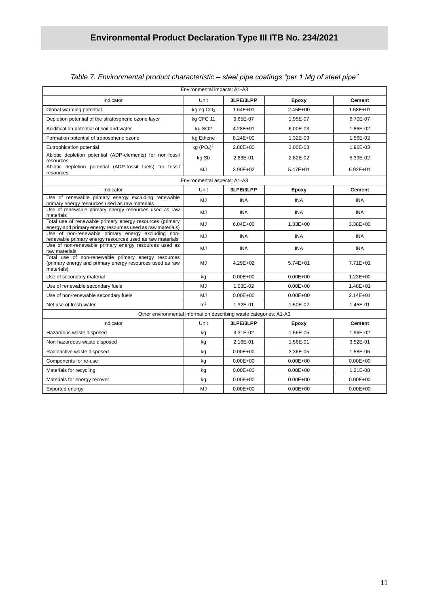| Environmental impacts: A1-A3<br>Unit<br>3LPE/3LPP<br><b>Cement</b><br>Indicator<br>Epoxy<br>$2.45E + 00$<br>1.58E+01<br>Global warming potential<br>$kq$ eq $CO2$<br>$1.64E + 01$<br>Depletion potential of the stratospheric ozone layer<br>kg CFC 11<br>9.65E-07<br>1.95E-07<br>6.70E-07<br>Acidification potential of soil and water<br>kg SO <sub>2</sub><br>4.28E+01<br>6.00E-03<br>1.86E-02<br>1.56E-02<br>Formation potential of tropospheric ozone<br>kg Ethene<br>8.24E+00<br>1.32E-03<br>kg (PO <sub>4</sub> ) <sup>3</sup><br>Eutrophication potential<br>2.88E+00<br>3.00E-03<br>1.96E-03<br>Abiotic depletion potential (ADP-elements) for non-fossil<br>kg Sb<br>2.83E-01<br>2.82E-02<br>5.39E-02<br>resources<br>Abiotic depletion potential (ADP-fossil fuels) for fossil<br>MJ<br>3.90E+02<br>5.47E+01<br>$6.92E + 01$<br>resources<br>Environmental aspects: A1-A3<br>3LPE/3LPP<br><b>Cement</b><br>Indicator<br>Unit<br>Epoxy<br>Use of renewable primary energy excluding renewable<br>MJ<br><b>INA</b><br><b>INA</b><br><b>INA</b> |
|---------------------------------------------------------------------------------------------------------------------------------------------------------------------------------------------------------------------------------------------------------------------------------------------------------------------------------------------------------------------------------------------------------------------------------------------------------------------------------------------------------------------------------------------------------------------------------------------------------------------------------------------------------------------------------------------------------------------------------------------------------------------------------------------------------------------------------------------------------------------------------------------------------------------------------------------------------------------------------------------------------------------------------------------------------|
|                                                                                                                                                                                                                                                                                                                                                                                                                                                                                                                                                                                                                                                                                                                                                                                                                                                                                                                                                                                                                                                         |
|                                                                                                                                                                                                                                                                                                                                                                                                                                                                                                                                                                                                                                                                                                                                                                                                                                                                                                                                                                                                                                                         |
|                                                                                                                                                                                                                                                                                                                                                                                                                                                                                                                                                                                                                                                                                                                                                                                                                                                                                                                                                                                                                                                         |
|                                                                                                                                                                                                                                                                                                                                                                                                                                                                                                                                                                                                                                                                                                                                                                                                                                                                                                                                                                                                                                                         |
|                                                                                                                                                                                                                                                                                                                                                                                                                                                                                                                                                                                                                                                                                                                                                                                                                                                                                                                                                                                                                                                         |
|                                                                                                                                                                                                                                                                                                                                                                                                                                                                                                                                                                                                                                                                                                                                                                                                                                                                                                                                                                                                                                                         |
|                                                                                                                                                                                                                                                                                                                                                                                                                                                                                                                                                                                                                                                                                                                                                                                                                                                                                                                                                                                                                                                         |
|                                                                                                                                                                                                                                                                                                                                                                                                                                                                                                                                                                                                                                                                                                                                                                                                                                                                                                                                                                                                                                                         |
|                                                                                                                                                                                                                                                                                                                                                                                                                                                                                                                                                                                                                                                                                                                                                                                                                                                                                                                                                                                                                                                         |
|                                                                                                                                                                                                                                                                                                                                                                                                                                                                                                                                                                                                                                                                                                                                                                                                                                                                                                                                                                                                                                                         |
|                                                                                                                                                                                                                                                                                                                                                                                                                                                                                                                                                                                                                                                                                                                                                                                                                                                                                                                                                                                                                                                         |
| primary energy resources used as raw materials                                                                                                                                                                                                                                                                                                                                                                                                                                                                                                                                                                                                                                                                                                                                                                                                                                                                                                                                                                                                          |
| Use of renewable primary energy resources used as raw<br>MJ<br><b>INA</b><br><b>INA</b><br><b>INA</b><br>materials                                                                                                                                                                                                                                                                                                                                                                                                                                                                                                                                                                                                                                                                                                                                                                                                                                                                                                                                      |
| Total use of renewable primary energy resources (primary<br>MJ<br>$6.04E + 00$<br>$1.33E + 00$<br>$3.38E + 00$<br>energy and primary energy resources used as raw materials)                                                                                                                                                                                                                                                                                                                                                                                                                                                                                                                                                                                                                                                                                                                                                                                                                                                                            |
| Use of non-renewable primary energy excluding non-<br>MJ<br><b>INA</b><br><b>INA</b><br><b>INA</b><br>renewable primary energy resources used as raw materials                                                                                                                                                                                                                                                                                                                                                                                                                                                                                                                                                                                                                                                                                                                                                                                                                                                                                          |
| Use of non-renewable primary energy resources used as<br>MJ<br><b>INA</b><br><b>INA</b><br><b>INA</b><br>raw materials                                                                                                                                                                                                                                                                                                                                                                                                                                                                                                                                                                                                                                                                                                                                                                                                                                                                                                                                  |
| Total use of non-renewable primary energy resources<br>(primary energy and primary energy resources used as raw<br>MJ<br>4.29E+02<br>5.74E+01<br>7.71E+01<br>materials)                                                                                                                                                                                                                                                                                                                                                                                                                                                                                                                                                                                                                                                                                                                                                                                                                                                                                 |
| $0.00E + 00$<br>$0.00E + 00$<br>$1.23E + 00$<br>Use of secondary material<br>kg                                                                                                                                                                                                                                                                                                                                                                                                                                                                                                                                                                                                                                                                                                                                                                                                                                                                                                                                                                         |
| MJ<br>$0.00E + 00$<br>Use of renewable secondary fuels<br>1.08E-02<br>1.48E+01                                                                                                                                                                                                                                                                                                                                                                                                                                                                                                                                                                                                                                                                                                                                                                                                                                                                                                                                                                          |
| MJ<br>Use of non-renewable secondary fuels<br>$0.00E + 00$<br>$0.00E + 00$<br>$2.14E + 01$                                                                                                                                                                                                                                                                                                                                                                                                                                                                                                                                                                                                                                                                                                                                                                                                                                                                                                                                                              |
| m <sup>3</sup><br>Net use of fresh water<br>1.32E-01<br>1.50E-02<br>1.45E-01                                                                                                                                                                                                                                                                                                                                                                                                                                                                                                                                                                                                                                                                                                                                                                                                                                                                                                                                                                            |
| Other environmental information describing waste categories: A1-A3                                                                                                                                                                                                                                                                                                                                                                                                                                                                                                                                                                                                                                                                                                                                                                                                                                                                                                                                                                                      |
| 3LPE/3LPP<br>Indicator<br>Unit<br>Epoxy<br><b>Cement</b>                                                                                                                                                                                                                                                                                                                                                                                                                                                                                                                                                                                                                                                                                                                                                                                                                                                                                                                                                                                                |
| 1.96E-02<br>Hazardous waste disposed<br>kg<br>9.31E-02<br>1.56E-05                                                                                                                                                                                                                                                                                                                                                                                                                                                                                                                                                                                                                                                                                                                                                                                                                                                                                                                                                                                      |
| 2.16E-01<br>3.52E-01<br>Non-hazardous waste disposed<br>1.56E-01<br>kg                                                                                                                                                                                                                                                                                                                                                                                                                                                                                                                                                                                                                                                                                                                                                                                                                                                                                                                                                                                  |
| $0.00E + 00$<br>3.36E-05<br>1.58E-06<br>Radioactive waste disposed<br>kg                                                                                                                                                                                                                                                                                                                                                                                                                                                                                                                                                                                                                                                                                                                                                                                                                                                                                                                                                                                |
| $0.00E + 00$<br>$0.00E + 00$<br>$0.00E + 00$<br>Components for re-use<br>kg                                                                                                                                                                                                                                                                                                                                                                                                                                                                                                                                                                                                                                                                                                                                                                                                                                                                                                                                                                             |
| $0.00E + 00$<br>$0.00E + 00$<br>1.21E-08<br>Materials for recycling<br>kg                                                                                                                                                                                                                                                                                                                                                                                                                                                                                                                                                                                                                                                                                                                                                                                                                                                                                                                                                                               |
| $0.00E + 00$<br>$0.00E + 00$<br>$0.00E + 00$<br>Materials for energy recover<br>kg                                                                                                                                                                                                                                                                                                                                                                                                                                                                                                                                                                                                                                                                                                                                                                                                                                                                                                                                                                      |
| Exported energy<br>MJ<br>$0.00E + 00$<br>$0.00E + 00$<br>$0.00E + 00$                                                                                                                                                                                                                                                                                                                                                                                                                                                                                                                                                                                                                                                                                                                                                                                                                                                                                                                                                                                   |

#### *Table 7. Environmental product characteristic – steel pipe coatings "per 1 Mg of steel pipe"*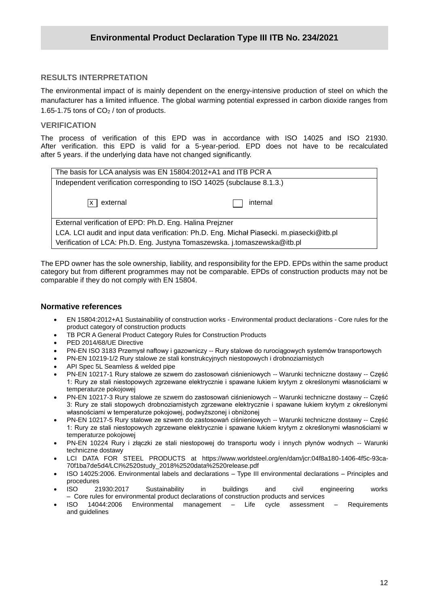#### **RESULTS INTERPRETATION**

**/2020** The environmental impact of is mainly dependent on the energy-intensive production of steel on which the manufacturer has a limited influence. The global warming potential expressed in carbon dioxide ranges from 1.65-1.75 tons of  $CO<sub>2</sub>$  / ton of products.

#### **VERIFICATION**

The process of verification of this EPD was in accordance with ISO 14025 and ISO 21930. After verification. this EPD is valid for a 5-year-period. EPD does not have to be recalculated after 5 years. if the underlying data have not changed significantly.

| The basis for LCA analysis was EN 15804:2012+A1 and ITB PCR A                             |          |  |  |  |  |  |
|-------------------------------------------------------------------------------------------|----------|--|--|--|--|--|
| Independent verification corresponding to ISO 14025 (subclause 8.1.3.)                    |          |  |  |  |  |  |
|                                                                                           |          |  |  |  |  |  |
| external<br>lx I                                                                          | internal |  |  |  |  |  |
|                                                                                           |          |  |  |  |  |  |
| External verification of EPD: Ph.D. Eng. Halina Prejzner                                  |          |  |  |  |  |  |
| LCA. LCI audit and input data verification: Ph.D. Eng. Michał Piasecki. m.piasecki@itb.pl |          |  |  |  |  |  |
| Verification of LCA: Ph.D. Eng. Justyna Tomaszewska. j.tomaszewska@itb.pl                 |          |  |  |  |  |  |

The EPD owner has the sole ownership, liability, and responsibility for the EPD. EPDs within the same product category but from different programmes may not be comparable. EPDs of construction products may not be comparable if they do not comply with EN 15804.

#### **Normative references**

- EN 15804:2012+A1 Sustainability of construction works Environmental product declarations Core rules for the product category of construction products
- TB PCR A General Product Category Rules for Construction Products
- PED 2014/68/UE Directive
- PN-EN ISO 3183 Przemysł naftowy i gazowniczy -- Rury stalowe do rurociągowych systemów transportowych
- PN-EN 10219-1/2 Rury stalowe ze stali konstrukcyjnych niestopowych i drobnoziarnistych
- API Spec 5L Seamless & welded pipe
- PN-EN 10217-1 Rury stalowe ze szwem do zastosowań ciśnieniowych -- Warunki techniczne dostawy -- Część 1: Rury ze stali niestopowych zgrzewane elektrycznie i spawane łukiem krytym z określonymi własnościami w temperaturze pokojowej
- PN-EN 10217-3 Rury stalowe ze szwem do zastosowań ciśnieniowych -- Warunki techniczne dostawy -- Część 3: Rury ze stali stopowych drobnoziarnistych zgrzewane elektrycznie i spawane łukiem krytym z określonymi własnościami w temperaturze pokojowej, podwyższonej i obniżonej
- PN-EN 10217-5 Rury stalowe ze szwem do zastosowań ciśnieniowych -- Warunki techniczne dostawy -- Część 1: Rury ze stali niestopowych zgrzewane elektrycznie i spawane łukiem krytym z określonymi własnościami w temperaturze pokojowej
- PN-EN 10224 Rury i złączki ze stali niestopowej do transportu wody i innych płynów wodnych -- Warunki techniczne dostawy
- LCI DATA FOR STEEL PRODUCTS at [https://www.worldsteel.org/en/dam/jcr:04f8a180-1406-4f5c-93ca-](https://www.worldsteel.org/en/dam/jcr:04f8a180-1406-4f5c-93ca-70f1ba7de5d4/LCI%2520study_2018%2520data%2520release.pdf)[70f1ba7de5d4/LCI%2520study\\_2018%2520data%2520release.pdf](https://www.worldsteel.org/en/dam/jcr:04f8a180-1406-4f5c-93ca-70f1ba7de5d4/LCI%2520study_2018%2520data%2520release.pdf)
- ISO 14025:2006. Environmental labels and declarations Type III environmental declarations Principles and procedures
- ISO 21930:2017 Sustainability in buildings and civil engineering works – Core rules for environmental product declarations of construction products and services
- ISO 14044:2006 Environmental management Life cycle assessment Requirements and guidelines